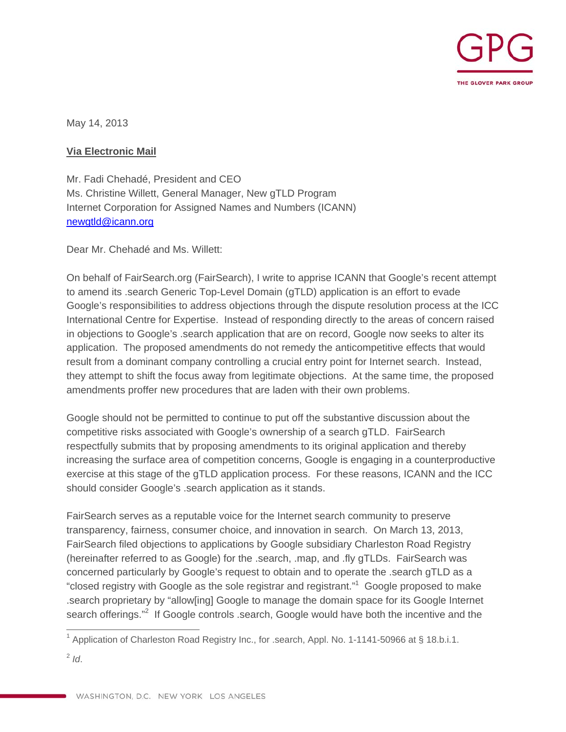

May 14, 2013

#### **Via Electronic Mail**

Mr. Fadi Chehadé, President and CEO Ms. Christine Willett, General Manager, New gTLD Program Internet Corporation for Assigned Names and Numbers (ICANN) newgtld@icann.org

Dear Mr. Chehadé and Ms. Willett:

On behalf of FairSearch.org (FairSearch), I write to apprise ICANN that Google's recent attempt to amend its .search Generic Top-Level Domain (gTLD) application is an effort to evade Google's responsibilities to address objections through the dispute resolution process at the ICC International Centre for Expertise. Instead of responding directly to the areas of concern raised in objections to Google's .search application that are on record, Google now seeks to alter its application. The proposed amendments do not remedy the anticompetitive effects that would result from a dominant company controlling a crucial entry point for Internet search. Instead, they attempt to shift the focus away from legitimate objections. At the same time, the proposed amendments proffer new procedures that are laden with their own problems.

Google should not be permitted to continue to put off the substantive discussion about the competitive risks associated with Google's ownership of a search gTLD. FairSearch respectfully submits that by proposing amendments to its original application and thereby increasing the surface area of competition concerns, Google is engaging in a counterproductive exercise at this stage of the gTLD application process. For these reasons, ICANN and the ICC should consider Google's .search application as it stands.

FairSearch serves as a reputable voice for the Internet search community to preserve transparency, fairness, consumer choice, and innovation in search. On March 13, 2013, FairSearch filed objections to applications by Google subsidiary Charleston Road Registry (hereinafter referred to as Google) for the .search, .map, and .fly gTLDs. FairSearch was concerned particularly by Google's request to obtain and to operate the .search gTLD as a "closed registry with Google as the sole registrar and registrant."<sup>1</sup> Google proposed to make .search proprietary by "allow[ing] Google to manage the domain space for its Google Internet search offerings."<sup>2</sup> If Google controls .search, Google would have both the incentive and the

 $\overline{a}$ 

<sup>&</sup>lt;sup>1</sup> Application of Charleston Road Registry Inc., for .search, Appl. No. 1-1141-50966 at § 18.b.i.1.

 $2$  *Id.*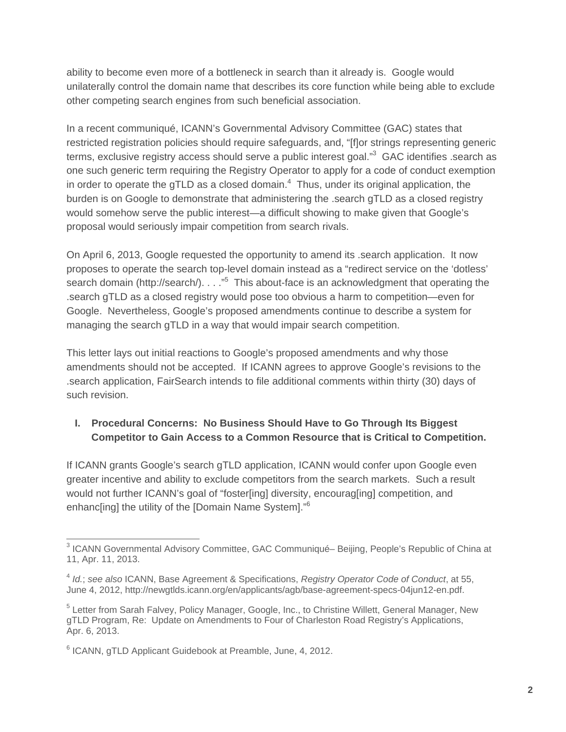ability to become even more of a bottleneck in search than it already is. Google would unilaterally control the domain name that describes its core function while being able to exclude other competing search engines from such beneficial association.

In a recent communiqué, ICANN's Governmental Advisory Committee (GAC) states that restricted registration policies should require safeguards, and, "[f]or strings representing generic terms, exclusive registry access should serve a public interest goal."<sup>3</sup> GAC identifies .search as one such generic term requiring the Registry Operator to apply for a code of conduct exemption in order to operate the gTLD as a closed domain. $4$  Thus, under its original application, the burden is on Google to demonstrate that administering the .search gTLD as a closed registry would somehow serve the public interest—a difficult showing to make given that Google's proposal would seriously impair competition from search rivals.

On April 6, 2013, Google requested the opportunity to amend its .search application. It now proposes to operate the search top-level domain instead as a "redirect service on the 'dotless' search domain (http://search/). . . ."<sup>5</sup> This about-face is an acknowledgment that operating the .search gTLD as a closed registry would pose too obvious a harm to competition—even for Google. Nevertheless, Google's proposed amendments continue to describe a system for managing the search gTLD in a way that would impair search competition.

This letter lays out initial reactions to Google's proposed amendments and why those amendments should not be accepted. If ICANN agrees to approve Google's revisions to the .search application, FairSearch intends to file additional comments within thirty (30) days of such revision.

### **I. Procedural Concerns: No Business Should Have to Go Through Its Biggest Competitor to Gain Access to a Common Resource that is Critical to Competition.**

If ICANN grants Google's search gTLD application, ICANN would confer upon Google even greater incentive and ability to exclude competitors from the search markets. Such a result would not further ICANN's goal of "foster[ing] diversity, encourag[ing] competition, and enhanc[ing] the utility of the [Domain Name System]."<sup>6</sup>

 $\overline{a}$ <sup>3</sup> ICANN Governmental Advisory Committee, GAC Communiqué– Beijing, People's Republic of China at 11, Apr. 11, 2013.

<sup>4</sup> *Id.*; *see also* ICANN, Base Agreement & Specifications, *Registry Operator Code of Conduct*, at 55, June 4, 2012, http://newgtlds.icann.org/en/applicants/agb/base-agreement-specs-04jun12-en.pdf.

<sup>&</sup>lt;sup>5</sup> Letter from Sarah Falvey, Policy Manager, Google, Inc., to Christine Willett, General Manager, New gTLD Program, Re: Update on Amendments to Four of Charleston Road Registry's Applications, Apr. 6, 2013.

<sup>&</sup>lt;sup>6</sup> ICANN, gTLD Applicant Guidebook at Preamble, June, 4, 2012.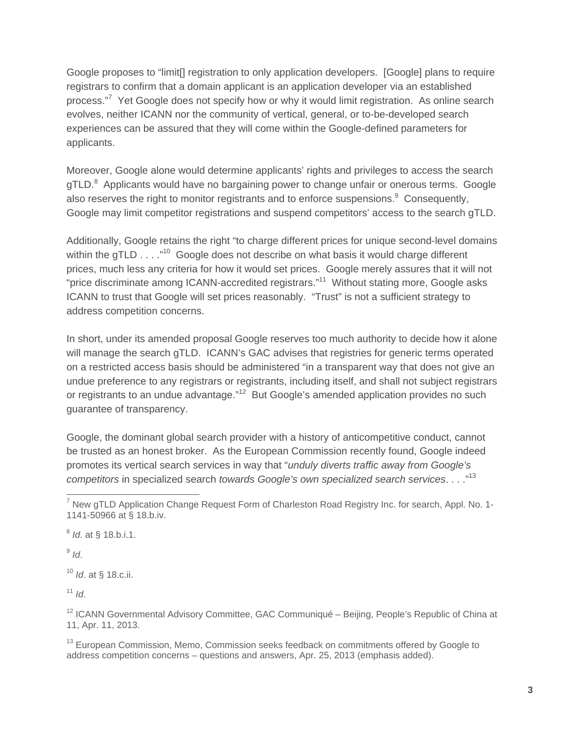Google proposes to "limit[] registration to only application developers. [Google] plans to require registrars to confirm that a domain applicant is an application developer via an established process."<sup>7</sup> Yet Google does not specify how or why it would limit registration. As online search evolves, neither ICANN nor the community of vertical, general, or to-be-developed search experiences can be assured that they will come within the Google-defined parameters for applicants.

Moreover, Google alone would determine applicants' rights and privileges to access the search gTLD.<sup>8</sup> Applicants would have no bargaining power to change unfair or onerous terms. Google also reserves the right to monitor registrants and to enforce suspensions.<sup>9</sup> Consequently, Google may limit competitor registrations and suspend competitors' access to the search gTLD.

Additionally, Google retains the right "to charge different prices for unique second-level domains within the gTLD . . . .<sup>"10</sup> Google does not describe on what basis it would charge different prices, much less any criteria for how it would set prices. Google merely assures that it will not "price discriminate among ICANN-accredited registrars."<sup>11</sup> Without stating more, Google asks ICANN to trust that Google will set prices reasonably. "Trust" is not a sufficient strategy to address competition concerns.

In short, under its amended proposal Google reserves too much authority to decide how it alone will manage the search gTLD. ICANN's GAC advises that registries for generic terms operated on a restricted access basis should be administered "in a transparent way that does not give an undue preference to any registrars or registrants, including itself, and shall not subject registrars or registrants to an undue advantage."<sup>12</sup> But Google's amended application provides no such guarantee of transparency.

Google, the dominant global search provider with a history of anticompetitive conduct, cannot be trusted as an honest broker. As the European Commission recently found, Google indeed promotes its vertical search services in way that "*unduly diverts traffic away from Google's competitors* in specialized search *towards Google's own specialized search services*. . . ."13

<sup>8</sup> *Id*. at § 18.b.i.1.

 $9$  *Id.* 

<sup>10</sup> *Id*. at § 18.c.ii.

 $11$  *Id*.

\_\_\_\_\_\_\_\_\_\_\_\_\_\_\_\_\_\_\_\_\_\_\_\_\_\_\_\_\_\_\_\_\_\_\_<br><sup>7</sup> New gTLD Application Change Request Form of Charleston Road Registry Inc. for search, Appl. No. 1-1141-50966 at § 18.b.iv.

<sup>&</sup>lt;sup>12</sup> ICANN Governmental Advisory Committee, GAC Communiqué – Beijing, People's Republic of China at 11, Apr. 11, 2013.

<sup>&</sup>lt;sup>13</sup> European Commission, Memo, Commission seeks feedback on commitments offered by Google to address competition concerns – questions and answers, Apr. 25, 2013 (emphasis added).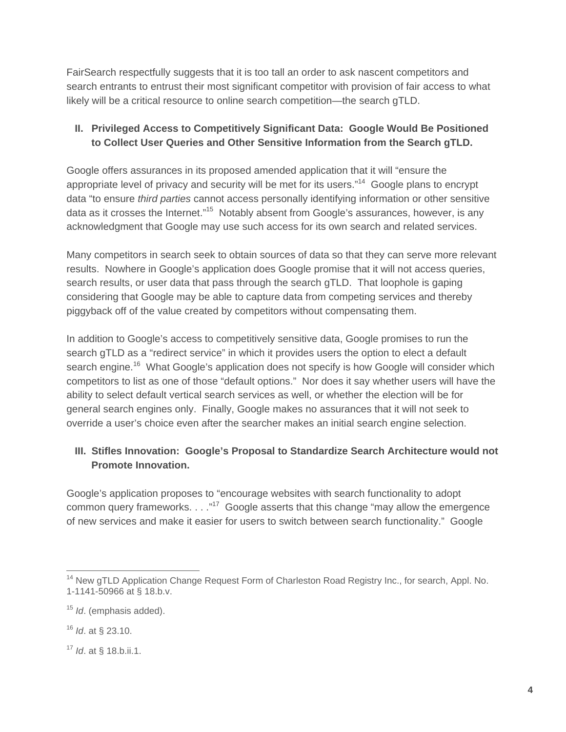FairSearch respectfully suggests that it is too tall an order to ask nascent competitors and search entrants to entrust their most significant competitor with provision of fair access to what likely will be a critical resource to online search competition—the search gTLD.

### **II. Privileged Access to Competitively Significant Data: Google Would Be Positioned to Collect User Queries and Other Sensitive Information from the Search gTLD.**

Google offers assurances in its proposed amended application that it will "ensure the appropriate level of privacy and security will be met for its users."<sup>14</sup> Google plans to encrypt data "to ensure *third parties* cannot access personally identifying information or other sensitive data as it crosses the Internet."<sup>15</sup> Notably absent from Google's assurances, however, is any acknowledgment that Google may use such access for its own search and related services.

Many competitors in search seek to obtain sources of data so that they can serve more relevant results. Nowhere in Google's application does Google promise that it will not access queries, search results, or user data that pass through the search gTLD. That loophole is gaping considering that Google may be able to capture data from competing services and thereby piggyback off of the value created by competitors without compensating them.

In addition to Google's access to competitively sensitive data, Google promises to run the search gTLD as a "redirect service" in which it provides users the option to elect a default search engine.<sup>16</sup> What Google's application does not specify is how Google will consider which competitors to list as one of those "default options." Nor does it say whether users will have the ability to select default vertical search services as well, or whether the election will be for general search engines only. Finally, Google makes no assurances that it will not seek to override a user's choice even after the searcher makes an initial search engine selection.

# **III. Stifles Innovation: Google's Proposal to Standardize Search Architecture would not Promote Innovation.**

Google's application proposes to "encourage websites with search functionality to adopt common query frameworks.  $\ldots$ ."<sup>17</sup> Google asserts that this change "may allow the emergence of new services and make it easier for users to switch between search functionality." Google

 $\overline{a}$ <sup>14</sup> New gTLD Application Change Request Form of Charleston Road Registry Inc., for search, Appl. No. 1-1141-50966 at § 18.b.v.

<sup>15</sup> *Id*. (emphasis added).

<sup>16</sup> *Id*. at § 23.10.

<sup>17</sup> *Id*. at § 18.b.ii.1.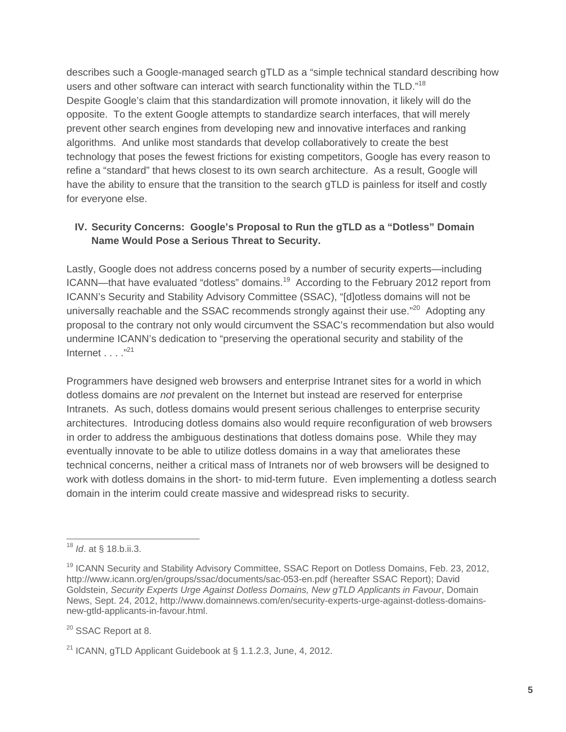describes such a Google-managed search gTLD as a "simple technical standard describing how users and other software can interact with search functionality within the TLD."<sup>18</sup> Despite Google's claim that this standardization will promote innovation, it likely will do the opposite. To the extent Google attempts to standardize search interfaces, that will merely prevent other search engines from developing new and innovative interfaces and ranking algorithms. And unlike most standards that develop collaboratively to create the best technology that poses the fewest frictions for existing competitors, Google has every reason to refine a "standard" that hews closest to its own search architecture. As a result, Google will have the ability to ensure that the transition to the search gTLD is painless for itself and costly for everyone else.

## **IV. Security Concerns: Google's Proposal to Run the gTLD as a "Dotless" Domain Name Would Pose a Serious Threat to Security.**

Lastly, Google does not address concerns posed by a number of security experts—including ICANN—that have evaluated "dotless" domains.<sup>19</sup> According to the February 2012 report from ICANN's Security and Stability Advisory Committee (SSAC), "[d]otless domains will not be universally reachable and the SSAC recommends strongly against their use."<sup>20</sup> Adopting any proposal to the contrary not only would circumvent the SSAC's recommendation but also would undermine ICANN's dedication to "preserving the operational security and stability of the Internet  $\ldots$  ."<sup>21</sup>

Programmers have designed web browsers and enterprise Intranet sites for a world in which dotless domains are *not* prevalent on the Internet but instead are reserved for enterprise Intranets. As such, dotless domains would present serious challenges to enterprise security architectures. Introducing dotless domains also would require reconfiguration of web browsers in order to address the ambiguous destinations that dotless domains pose. While they may eventually innovate to be able to utilize dotless domains in a way that ameliorates these technical concerns, neither a critical mass of Intranets nor of web browsers will be designed to work with dotless domains in the short- to mid-term future. Even implementing a dotless search domain in the interim could create massive and widespread risks to security.

<sup>20</sup> SSAC Report at 8.

 $\overline{a}$ <sup>18</sup> *Id*. at § 18.b.ii.3.

<sup>&</sup>lt;sup>19</sup> ICANN Security and Stability Advisory Committee, SSAC Report on Dotless Domains, Feb. 23, 2012, http://www.icann.org/en/groups/ssac/documents/sac-053-en.pdf (hereafter SSAC Report); David Goldstein, *Security Experts Urge Against Dotless Domains, New gTLD Applicants in Favour*, Domain News, Sept. 24, 2012, http://www.domainnews.com/en/security-experts-urge-against-dotless-domainsnew-gtld-applicants-in-favour.html.

<sup>&</sup>lt;sup>21</sup> ICANN, gTLD Applicant Guidebook at § 1.1.2.3, June, 4, 2012.